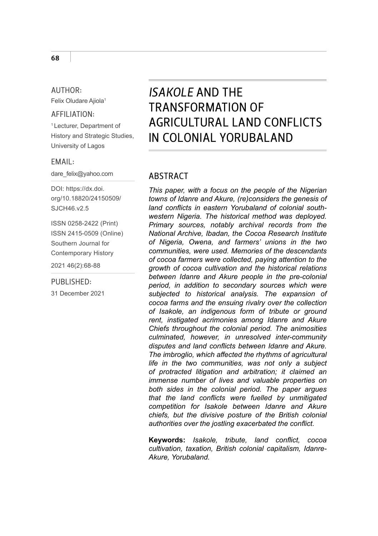#### AUTHOR: Felix Oludare Ajiola1

#### AFFILIATION:

1 Lecturer, Department of History and Strategic Studies, University of Lagos

#### EMAIL:

dare\_felix@yahoo.com

DOI: [https://dx.doi.](https://dx.doi.org/10.18820/24150509/SJCH46.v2.5) [org/10.18820/24150509/](https://dx.doi.org/10.18820/24150509/SJCH46.v2.5) [SJCH46.v2.5](https://dx.doi.org/10.18820/24150509/SJCH46.v2.5)

ISSN 0258-2422 (Print) ISSN 2415-0509 (Online) Southern Journal for Contemporary History

2021 46(2):68-88

#### PUBLISHED:

31 December 2021

# *ISAKOLE* AND THE TRANSFORMATION OF AGRICULTURAL LAND CONFLICTS IN COLONIAL YORUBALAND

### **ARSTRACT**

*This paper, with a focus on the people of the Nigerian towns of Idanre and Akure, (re)considers the genesis of land conflicts in eastern Yorubaland of colonial southwestern Nigeria. The historical method was deployed. Primary sources, notably archival records from the National Archive, Ibadan, the Cocoa Research Institute of Nigeria, Owena, and farmers' unions in the two communities, were used. Memories of the descendants of cocoa farmers were collected, paying attention to the growth of cocoa cultivation and the historical relations between Idanre and Akure people in the pre-colonial period, in addition to secondary sources which were subjected to historical analysis. The expansion of cocoa farms and the ensuing rivalry over the collection of Isakole, an indigenous form of tribute or ground rent, instigated acrimonies among Idanre and Akure Chiefs throughout the colonial period. The animosities culminated, however, in unresolved inter-community disputes and land conflicts between Idanre and Akure. The imbroglio, which affected the rhythms of agricultural life in the two communities, was not only a subject of protracted litigation and arbitration; it claimed an immense number of lives and valuable properties on both sides in the colonial period. The paper argues that the land conflicts were fuelled by unmitigated competition for Isakole between Idanre and Akure chiefs, but the divisive posture of the British colonial authorities over the jostling exacerbated the conflict.* 

**Keywords:** *Isakole, tribute, land conflict, cocoa cultivation, taxation, British colonial capitalism, Idanre-Akure, Yorubaland.*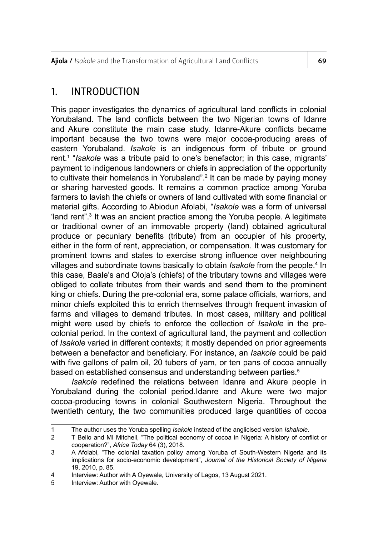Ajiola / *Isakole* and the Transformation of Agricultural Land Conflicts 69

## 1. INTRODUCTION

This paper investigates the dynamics of agricultural land conflicts in colonial Yorubaland. The land conflicts between the two Nigerian towns of Idanre and Akure constitute the main case study. Idanre-Akure conflicts became important because the two towns were major cocoa-producing areas of eastern Yorubaland. *Isakole* is an indigenous form of tribute or ground rent.1 "*Isakole* was a tribute paid to one's benefactor; in this case, migrants' payment to indigenous landowners or chiefs in appreciation of the opportunity to cultivate their homelands in Yorubaland".2 It can be made by paying money or sharing harvested goods. It remains a common practice among Yoruba farmers to lavish the chiefs or owners of land cultivated with some financial or material gifts. According to Abiodun Afolabi, "*Isakole* was a form of universal 'land rent".3 It was an ancient practice among the Yoruba people. A legitimate or traditional owner of an immovable property (land) obtained agricultural produce or pecuniary benefits (tribute) from an occupier of his property, either in the form of rent, appreciation, or compensation. It was customary for prominent towns and states to exercise strong influence over neighbouring villages and subordinate towns basically to obtain *Isakole* from the people.<sup>4</sup> In this case, Baale's and Oloja's (chiefs) of the tributary towns and villages were obliged to collate tributes from their wards and send them to the prominent king or chiefs. During the pre-colonial era, some palace officials, warriors, and minor chiefs exploited this to enrich themselves through frequent invasion of farms and villages to demand tributes. In most cases, military and political might were used by chiefs to enforce the collection of *Isakole* in the precolonial period. In the context of agricultural land, the payment and collection of *Isakole* varied in different contexts; it mostly depended on prior agreements between a benefactor and beneficiary. For instance, an *Isakole* could be paid with five gallons of palm oil, 20 tubers of yam, or ten pans of cocoa annually based on established consensus and understanding between parties.<sup>5</sup>

*Isakole* redefined the relations between Idanre and Akure people in Yorubaland during the colonial period.Idanre and Akure were two major cocoa-producing towns in colonial Southwestern Nigeria. Throughout the twentieth century, the two communities produced large quantities of cocoa

<sup>1</sup> The author uses the Yoruba spelling *Isakole* instead of the anglicised version *Ishakole*.

<sup>2</sup> T Bello and MI Mitchell, "The political economy of cocoa in Nigeria: A history of conflict or cooperation?", *Africa Today* 64 (3), 2018.

<sup>3</sup> A Afolabi, "The colonial taxation policy among Yoruba of South-Western Nigeria and its implications for socio-economic development", *Journal of the Historical Society of Nigeria* 19, 2010, p. 85.

<sup>4</sup> Interview: Author with A Oyewale, University of Lagos, 13 August 2021.<br>5 Interview: Author with Oyewale

Interview: Author with Oyewale.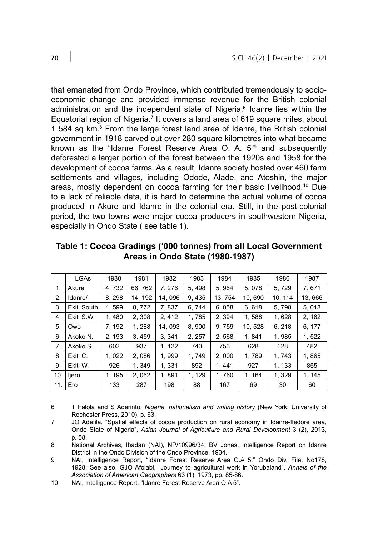that emanated from Ondo Province, which contributed tremendously to socioeconomic change and provided immense revenue for the British colonial administration and the independent state of Nigeria.<sup>6</sup> Idanre lies within the Equatorial region of Nigeria.<sup>7</sup> It covers a land area of 619 square miles, about 1 584 sq km.<sup>8</sup> From the large forest land area of Idanre, the British colonial government in 1918 carved out over 280 square kilometres into what became known as the "Idanre Forest Reserve Area O. A. 5"<sup>9</sup> and subsequently deforested a larger portion of the forest between the 1920s and 1958 for the development of cocoa farms. As a result, Idanre society hosted over 460 farm settlements and villages, including Odode, Alade, and Atoshin, the major areas, mostly dependent on cocoa farming for their basic livelihood.10 Due to a lack of reliable data, it is hard to determine the actual volume of cocoa produced in Akure and Idanre in the colonial era. Still, in the post-colonial period, the two towns were major cocoa producers in southwestern Nigeria, especially in Ondo State ( see table 1).

|                | LGAs        | 1980  | 1981    | 1982   | 1983   | 1984    | 1985   | 1986   | 1987   |
|----------------|-------------|-------|---------|--------|--------|---------|--------|--------|--------|
| $\mathbf{1}$ . | Akure       | 4,732 | 66, 762 | 7.276  | 5.498  | 5.964   | 5.078  | 5.729  | 7,671  |
| 2.             | Idanre/     | 8.298 | 14.192  | 14.096 | 9.435  | 13, 754 | 10.690 | 10.114 | 13,666 |
| 3.             | Ekiti South | 4.599 | 8.772   | 7.837  | 6.744  | 6.058   | 6.618  | 5.798  | 5.018  |
| 4.             | Ekiti S.W   | 1,480 | 2, 308  | 2, 412 | 1,785  | 2, 394  | 1,588  | 1,628  | 2, 162 |
| 5.             | Owo         | 7.192 | 1.288   | 14.093 | 8.900  | 9.759   | 10.528 | 6.218  | 6.177  |
| 6.             | Akoko N.    | 2.193 | 3.459   | 3.341  | 2, 257 | 2,568   | 1.841  | 1,985  | 1, 522 |
| 7.             | Akoko S.    | 602   | 937     | 1, 122 | 740    | 753     | 628    | 628    | 482    |
| 8.             | Ekiti C.    | 1.022 | 2.086   | 1.999  | 1.749  | 2.000   | 1.789  | 1.743  | 1.865  |
| 9.             | Ekiti W.    | 926   | 1.349   | 1.331  | 892    | 1.441   | 927    | 1.133  | 855    |
| 10.            | liero       | 1.195 | 2.062   | 1.891  | 1.129  | 1.760   | 1.164  | 1.329  | 1.145  |
| 11.            | Ero         | 133   | 287     | 198    | 88     | 167     | 69     | 30     | 60     |

**Table 1: Cocoa Gradings ('000 tonnes) from all Local Government Areas in Ondo State (1980-1987)** 

6 T Falola and S Aderinto, *Nigeria, nationalism and writing history* (New York: University of Rochester Press, 2010), p. 63.

<sup>7</sup> JO Adefila, "Spatial effects of cocoa production on rural economy in Idanre-Ifedore area, Ondo State of Nigeria", *Asian Journal of Agriculture and Rural Development* 3 (2), 2013, p. 58.

<sup>8</sup> National Archives, Ibadan (NAI), NP/10996/34, BV Jones, Intelligence Report on Idanre District in the Ondo Division of the Ondo Province. 1934.

<sup>9</sup> NAI, Intelligence Report, "Idanre Forest Reserve Area O.A 5," Ondo Div, File, No178, 1928; See also, GJO Afolabi, "Journey to agricultural work in Yorubaland", *Annals of the Association of American Geographers* 63 (1), 1973, pp. 85-86.

<sup>10</sup> NAI, Intelligence Report, "Idanre Forest Reserve Area O.A 5".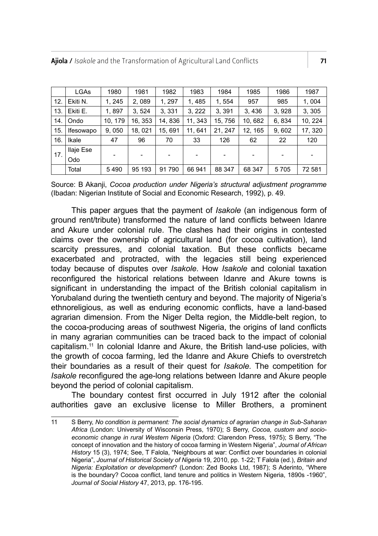|     | <b>LGAs</b> | 1980    | 1981                     | 1982    | 1983    | 1984    | 1985    | 1986  | 1987    |
|-----|-------------|---------|--------------------------|---------|---------|---------|---------|-------|---------|
| 12. | Ekiti N.    | 1, 245  | 2,089                    | 1, 297  | 1, 485  | 1, 554  | 957     | 985   | 1,004   |
| 13. | Ekiti E.    | 1,897   | 3.524                    | 3.331   | 3, 222  | 3.391   | 3,436   | 3,928 | 3, 305  |
| 14. | Ondo        | 10, 179 | 16, 353                  | 14, 836 | 11, 343 | 15, 756 | 10,682  | 6,834 | 10, 224 |
| 15. | Ifesowapo   | 9,050   | 18, 021                  | 15.691  | 11, 641 | 21.247  | 12, 165 | 9,602 | 17, 320 |
| 16. | Ikale       | 47      | 96                       | 70      | 33      | 126     | 62      | 22    | 120     |
| 17. | Ilaje Ese   |         |                          |         |         |         |         |       |         |
|     | Odo         | -       | $\overline{\phantom{a}}$ | ٠       |         |         |         |       |         |
|     | Total       | 5490    | 95 193                   | 91790   | 66 941  | 88 347  | 68 347  | 5705  | 72 581  |

Source: B Akanji, *Cocoa production under Nigeria's structural adjustment programme* (Ibadan: Nigerian Institute of Social and Economic Research, 1992), p. 49.

This paper argues that the payment of *Isakole* (an indigenous form of ground rent/tribute) transformed the nature of land conflicts between Idanre and Akure under colonial rule. The clashes had their origins in contested claims over the ownership of agricultural land (for cocoa cultivation), land scarcity pressures, and colonial taxation. But these conflicts became exacerbated and protracted, with the legacies still being experienced today because of disputes over *Isakole*. How *Isakole* and colonial taxation reconfigured the historical relations between Idanre and Akure towns is significant in understanding the impact of the British colonial capitalism in Yorubaland during the twentieth century and beyond. The majority of Nigeria's ethnoreligious, as well as enduring economic conflicts, have a land-based agrarian dimension. From the Niger Delta region, the Middle-belt region, to the cocoa-producing areas of southwest Nigeria, the origins of land conflicts in many agrarian communities can be traced back to the impact of colonial capitalism.11 In colonial Idanre and Akure, the British land-use policies, with the growth of cocoa farming, led the Idanre and Akure Chiefs to overstretch their boundaries as a result of their quest for *Isakole.* The competition for *Isakole* reconfigured the age-long relations between Idanre and Akure people beyond the period of colonial capitalism.

The boundary contest first occurred in July 1912 after the colonial authorities gave an exclusive license to Miller Brothers, a prominent

<sup>11</sup> S Berry, *No condition is permanent: The social dynamics of agrarian change in Sub-Saharan Africa* (London: University of Wisconsin Press, 1970); S Berry, *Cocoa, custom and socioeconomic change in rural Western Nigeria* (Oxford: Clarendon Press, 1975); S Berry, "The concept of innovation and the history of cocoa farming in Western Nigeria", *Journal of African History* 15 (3), 1974; See, T Falola, "Neighbours at war: Conflict over boundaries in colonial Nigeria", *Journal of Historical Society of Nigeria* 19, 2010, pp. 1-22; T Falola (ed.), *Britain and Nigeria: Exploitation or development*? (London: Zed Books Ltd, 1987); S Aderinto, "Where is the boundary? Cocoa conflict, land tenure and politics in Western Nigeria, 1890s -1960", *Journal of Social History* 47, 2013, pp. 176-195.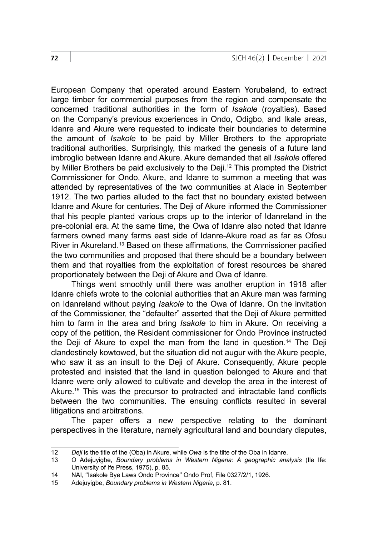European Company that operated around Eastern Yorubaland, to extract large timber for commercial purposes from the region and compensate the concerned traditional authorities in the form of *Isakole* (royalties). Based on the Company's previous experiences in Ondo, Odigbo, and Ikale areas, Idanre and Akure were requested to indicate their boundaries to determine the amount of *Isakole* to be paid by Miller Brothers to the appropriate traditional authorities. Surprisingly, this marked the genesis of a future land imbroglio between Idanre and Akure. Akure demanded that all *Isakole* offered by Miller Brothers be paid exclusively to the Deji.<sup>12</sup> This prompted the District Commissioner for Ondo, Akure, and Idanre to summon a meeting that was attended by representatives of the two communities at Alade in September 1912. The two parties alluded to the fact that no boundary existed between Idanre and Akure for centuries. The Deji of Akure informed the Commissioner that his people planted various crops up to the interior of Idanreland in the pre-colonial era. At the same time, the Owa of Idanre also noted that Idanre farmers owned many farms east side of Idanre-Akure road as far as Ofosu River in Akureland.<sup>13</sup> Based on these affirmations, the Commissioner pacified the two communities and proposed that there should be a boundary between them and that royalties from the exploitation of forest resources be shared proportionately between the Deji of Akure and Owa of Idanre.

Things went smoothly until there was another eruption in 1918 after Idanre chiefs wrote to the colonial authorities that an Akure man was farming on Idanreland without paying *Isakole* to the Owa of Idanre. On the invitation of the Commissioner, the "defaulter" asserted that the Deji of Akure permitted him to farm in the area and bring *Isakole* to him in Akure. On receiving a copy of the petition, the Resident commissioner for Ondo Province instructed the Deji of Akure to expel the man from the land in question.<sup>14</sup> The Deji clandestinely kowtowed, but the situation did not augur with the Akure people, who saw it as an insult to the Deji of Akure. Consequently, Akure people protested and insisted that the land in question belonged to Akure and that Idanre were only allowed to cultivate and develop the area in the interest of Akure.15 This was the precursor to protracted and intractable land conflicts between the two communities. The ensuing conflicts resulted in several litigations and arbitrations.

The paper offers a new perspective relating to the dominant perspectives in the literature, namely agricultural land and boundary disputes,

<sup>12</sup> *Deji* is the title of the (Oba) in Akure, while *Owa* is the tilte of the Oba in Idanre.<br>13 O Adejuvishe, Boundary problems in Western Nigeria: A geographic ana

<sup>13</sup> O Adejuyigbe, *Boundary problems in Western Nigeria: A geographic analysis* (Ile Ife: University of Ife Press, 1975), p. 85.

<sup>14</sup> NAI, "Isakole Bye Laws Ondo Province" Ondo Prof, File 0327/2/1, 1926.<br>15 Adeluvigbe *Boundary problems in Western Nigeria* p. 81

<sup>15</sup> Adejuyigbe, *Boundary problems in Western Nigeria*, p. 81.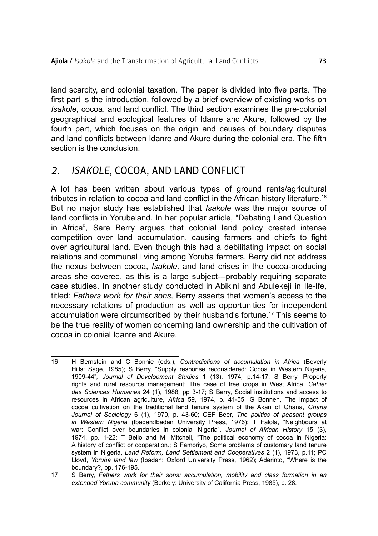land scarcity, and colonial taxation. The paper is divided into five parts. The first part is the introduction, followed by a brief overview of existing works on *Isakole,* cocoa, and land conflict. The third section examines the pre-colonial geographical and ecological features of Idanre and Akure, followed by the fourth part, which focuses on the origin and causes of boundary disputes and land conflicts between Idanre and Akure during the colonial era. The fifth section is the conclusion.

# *2. ISAKOLE*, COCOA, AND LAND CONFLICT

A lot has been written about various types of ground rents/agricultural tributes in relation to cocoa and land conflict in the African history literature.<sup>16</sup> But no major study has established that *Isakole* was the major source of land conflicts in Yorubaland. In her popular article, "Debating Land Question in Africa"*,* Sara Berry argues that colonial land policy created intense competition over land accumulation, causing farmers and chiefs to fight over agricultural land. Even though this had a debilitating impact on social relations and communal living among Yoruba farmers, Berry did not address the nexus between cocoa, *Isakole,* and land crises in the cocoa-producing areas she covered, as this is a large subject---probably requiring separate case studies. In another study conducted in Abikini and Abulekeji in Ile-Ife, titled: *Fathers work for their sons,* Berry asserts that women's access to the necessary relations of production as well as opportunities for independent accumulation were circumscribed by their husband's fortune.17 This seems to be the true reality of women concerning land ownership and the cultivation of cocoa in colonial Idanre and Akure.

<sup>16</sup> H Bernstein and C Bonnie (eds.), *Contradictions of accumulation in Africa* (Beverly Hills: Sage, 1985); S Berry, "Supply response reconsidered: Cocoa in Western Nigeria, 1909-44"*, Journal of Development Studies* 1 (13), 1974*,* p.14-17; S Berry, Property rights and rural resource management: The case of tree crops in West Africa, *Cahier des Sciences Humaines* 24 (1), 1988*,* pp 3-17; S Berry, Social institutions and access to resources in African agriculture, *Africa* 59, 1974, p. 41-55; G Bonneh, The impact of cocoa cultivation on the traditional land tenure system of the Akan of Ghana, *Ghana Journal of Sociology* 6 (1), 1970, p. 43-60; CEF Beer, *The politics of peasant groups in Western Nigeria* (Ibadan:Ibadan University Press, 1976); T Falola, "Neighbours at war: Conflict over boundaries in colonial Nigeria", *Journal of African History* 15 (3), 1974, pp. 1-22; T Bello and MI Mitchell, "The political economy of cocoa in Nigeria: A history of conflict or cooperation.; S Famoriyo, Some problems of customary land tenure system in Nigeria, *Land Reform, Land Settlement and Cooperatives* 2 (1), 1973, p.11; PC Lloyd, *Yoruba land law* (Ibadan: Oxford University Press, 1962); Aderinto, "Where is the boundary?, pp. 176-195.

<sup>17</sup> S Berry, *Fathers work for their sons: accumulation, mobility and class formation in an extended Yoruba community* (Berkely: University of California Press, 1985), p. 28.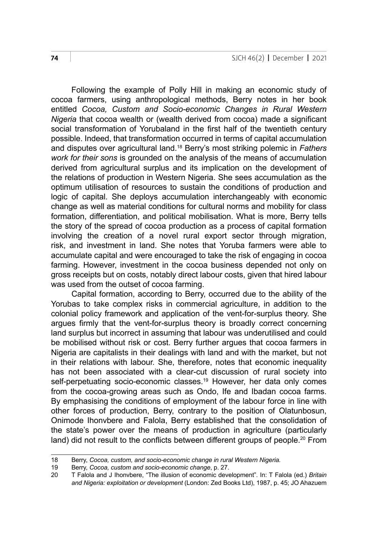Following the example of Polly Hill in making an economic study of cocoa farmers, using anthropological methods, Berry notes in her book entitled *Cocoa, Custom and Socio-economic Changes in Rural Western Nigeria* that cocoa wealth or (wealth derived from cocoa) made a significant social transformation of Yorubaland in the first half of the twentieth century possible. Indeed, that transformation occurred in terms of capital accumulation and disputes over agricultural land.18 Berry's most striking polemic in *Fathers work for their sons* is grounded on the analysis of the means of accumulation derived from agricultural surplus and its implication on the development of the relations of production in Western Nigeria. She sees accumulation as the optimum utilisation of resources to sustain the conditions of production and logic of capital. She deploys accumulation interchangeably with economic change as well as material conditions for cultural norms and mobility for class formation, differentiation, and political mobilisation. What is more, Berry tells the story of the spread of cocoa production as a process of capital formation involving the creation of a novel rural export sector through migration, risk, and investment in land. She notes that Yoruba farmers were able to accumulate capital and were encouraged to take the risk of engaging in cocoa farming. However, investment in the cocoa business depended not only on gross receipts but on costs, notably direct labour costs, given that hired labour was used from the outset of cocoa farming.

Capital formation, according to Berry, occurred due to the ability of the Yorubas to take complex risks in commercial agriculture, in addition to the colonial policy framework and application of the vent-for-surplus theory. She argues firmly that the vent-for-surplus theory is broadly correct concerning land surplus but incorrect in assuming that labour was underutilised and could be mobilised without risk or cost. Berry further argues that cocoa farmers in Nigeria are capitalists in their dealings with land and with the market, but not in their relations with labour. She, therefore, notes that economic inequality has not been associated with a clear-cut discussion of rural society into self-perpetuating socio-economic classes.<sup>19</sup> However, her data only comes from the cocoa-growing areas such as Ondo, Ife and Ibadan cocoa farms. By emphasising the conditions of employment of the labour force in line with other forces of production, Berry, contrary to the position of Olatunbosun, Onimode Ihonvbere and Falola, Berry established that the consolidation of the state's power over the means of production in agriculture (particularly land) did not result to the conflicts between different groups of people.<sup>20</sup> From

<sup>18</sup> Berry, *Cocoa, custom, and socio-economic change in rural Western Nigeria.*

<sup>19</sup> Berry, *Cocoa, custom and socio-economic change*, p. 27.

<sup>20</sup> T Falola and J Ihonvbere, "The illusion of economic development". In: T Falola (ed.) *Britain and Nigeria: exploitation or development* (London: Zed Books Ltd), 1987, p. 45; JO Ahazuem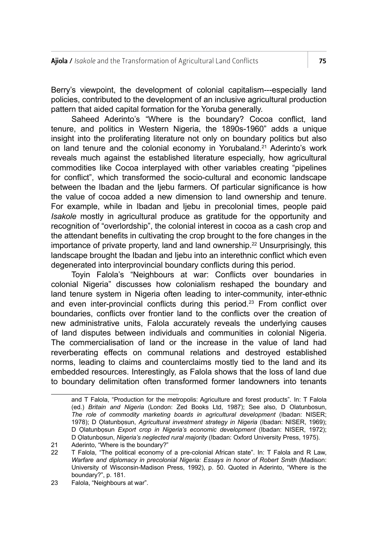Berry's viewpoint, the development of colonial capitalism---especially land policies, contributed to the development of an inclusive agricultural production pattern that aided capital formation for the Yoruba generally.

Saheed Aderinto's "Where is the boundary? Cocoa conflict, land tenure, and politics in Western Nigeria, the 1890s-1960" adds a unique insight into the proliferating literature not only on boundary politics but also on land tenure and the colonial economy in Yorubaland.21 Aderinto's work reveals much against the established literature especially, how agricultural commodities like Cocoa interplayed with other variables creating "pipelines for conflict", which transformed the socio-cultural and economic landscape between the Ibadan and the liebu farmers. Of particular significance is how the value of cocoa added a new dimension to land ownership and tenure. For example, while in Ibadan and Ijebu in precolonial times, people paid *Isakole* mostly in agricultural produce as gratitude for the opportunity and recognition of "overlordship", the colonial interest in cocoa as a cash crop and the attendant benefits in cultivating the crop brought to the fore changes in the importance of private property, land and land ownership.<sup>22</sup> Unsurprisingly, this landscape brought the Ibadan and Ijebu into an interethnic conflict which even degenerated into interprovincial boundary conflicts during this period.

Toyin Falola's "Neighbours at war: Conflicts over boundaries in colonial Nigeria" discusses how colonialism reshaped the boundary and land tenure system in Nigeria often leading to inter-community, inter-ethnic and even inter-provincial conflicts during this period.<sup>23</sup> From conflict over boundaries, conflicts over frontier land to the conflicts over the creation of new administrative units, Falola accurately reveals the underlying causes of land disputes between individuals and communities in colonial Nigeria. The commercialisation of land or the increase in the value of land had reverberating effects on communal relations and destroyed established norms, leading to claims and counterclaims mostly tied to the land and its embedded resources. Interestingly, as Falola shows that the loss of land due to boundary delimitation often transformed former landowners into tenants

and T Falola, "Production for the metropolis: Agriculture and forest products". In: T Falola (ed.) *Britain and Nigeria* (London: Zed Books Ltd, 1987); See also, D Olatunbosun, *The role of commodity marketing boards in agricultural development* (Ibadan: NISER; 1978); D Ọlatunbọsun, *Agricultural investment strategy in Nigeria* (Ibadan: NISER, 1969); D Ọlatunbọsun *Export crop in Nigeria's economic development* (Ibadan: NISER, 1972); D Ọlatunbọsun, *Nigeria's neglected rural majority* (Ibadan: Oxford University Press, 1975).

<sup>21</sup> Aderinto, "Where is the boundary?"

<sup>22</sup> T Falola, "The political economy of a pre-colonial African state". In: T Falola and R Law, *Warfare and diplomacy in precolonial Nigeria: Essays in honor of Robert Smith* (Madison: University of Wisconsin-Madison Press, 1992), p. 50. Quoted in Aderinto, "Where is the boundary?", p. 181.

<sup>23</sup> Falola, "Neighbours at war".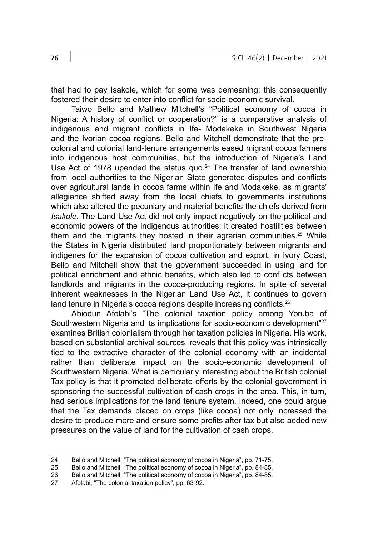that had to pay Isakole, which for some was demeaning; this consequently fostered their desire to enter into conflict for socio-economic survival.

Taiwo Bello and Mathew Mitchell's "Political economy of cocoa in Nigeria: A history of conflict or cooperation?" is a comparative analysis of indigenous and migrant conflicts in Ife- Modakeke in Southwest Nigeria and the Ivorian cocoa regions. Bello and Mitchell demonstrate that the precolonial and colonial land-tenure arrangements eased migrant cocoa farmers into indigenous host communities, but the introduction of Nigeria's Land Use Act of 1978 upended the status quo.<sup>24</sup> The transfer of land ownership from local authorities to the Nigerian State generated disputes and conflicts over agricultural lands in cocoa farms within Ife and Modakeke, as migrants' allegiance shifted away from the local chiefs to governments institutions which also altered the pecuniary and material benefits the chiefs derived from *Isakole*. The Land Use Act did not only impact negatively on the political and economic powers of the indigenous authorities; it created hostilities between them and the migrants they hosted in their agrarian communities.<sup>25</sup> While the States in Nigeria distributed land proportionately between migrants and indigenes for the expansion of cocoa cultivation and export, in Ivory Coast, Bello and Mitchell show that the government succeeded in using land for political enrichment and ethnic benefits, which also led to conflicts between landlords and migrants in the cocoa-producing regions. In spite of several inherent weaknesses in the Nigerian Land Use Act, it continues to govern land tenure in Nigeria's cocoa regions despite increasing conflicts.<sup>26</sup>

Abiodun Afolabi's "The colonial taxation policy among Yoruba of Southwestern Nigeria and its implications for socio-economic development"<sup>27</sup> examines British colonialism through her taxation policies in Nigeria. His work, based on substantial archival sources, reveals that this policy was intrinsically tied to the extractive character of the colonial economy with an incidental rather than deliberate impact on the socio-economic development of Southwestern Nigeria. What is particularly interesting about the British colonial Tax policy is that it promoted deliberate efforts by the colonial government in sponsoring the successful cultivation of cash crops in the area. This, in turn, had serious implications for the land tenure system. Indeed, one could argue that the Tax demands placed on crops (like cocoa) not only increased the desire to produce more and ensure some profits after tax but also added new pressures on the value of land for the cultivation of cash crops.

<sup>24</sup> Bello and Mitchell, "The political economy of cocoa in Nigeria", pp. 71-75.<br>25 Bello and Mitchell. "The political economy of cocoa in Nigeria", pp. 84-85.

<sup>25</sup> Bello and Mitchell, "The political economy of cocoa in Nigeria", pp. 84-85.

<sup>26</sup> Bello and Mitchell, "The political economy of cocoa in Nigeria", pp. 84-85.<br>27 Afolabi "The colonial taxation policy" pp. 63-92

<sup>27</sup> Afolabi, "The colonial taxation policy", pp. 63-92.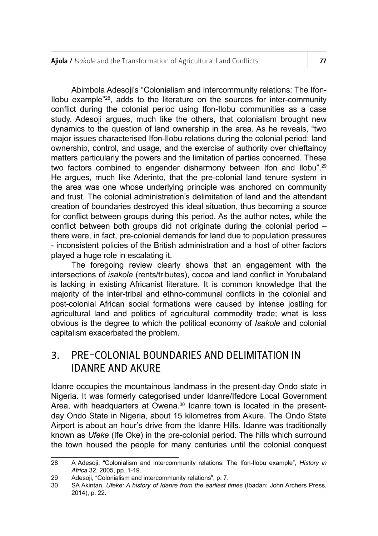Ajiola / *Isakole* and the Transformation of Agricultural Land Conflicts **77** 

Abimbola Adesoji's "Colonialism and intercommunity relations: The Ifon-Ilobu example"28, adds to the literature on the sources for inter-community conflict during the colonial period using Ifon-Ilobu communities as a case study. Adesoji argues, much like the others, that colonialism brought new dynamics to the question of land ownership in the area. As he reveals, "two major issues characterised Ifon-Ilobu relations during the colonial period: land ownership, control, and usage, and the exercise of authority over chieftaincy matters particularly the powers and the limitation of parties concerned. These two factors combined to engender disharmony between Ifon and Ilobu".<sup>29</sup> He argues, much like Aderinto, that the pre-colonial land tenure system in the area was one whose underlying principle was anchored on community and trust. The colonial administration's delimitation of land and the attendant creation of boundaries destroyed this ideal situation, thus becoming a source for conflict between groups during this period. As the author notes, while the conflict between both groups did not originate during the colonial period – there were, in fact, pre-colonial demands for land due to population pressures - inconsistent policies of the British administration and a host of other factors played a huge role in escalating it.

The foregoing review clearly shows that an engagement with the intersections of *isakole* (rents/tributes), cocoa and land conflict in Yorubaland is lacking in existing Africanist literature. It is common knowledge that the majority of the inter-tribal and ethno-communal conflicts in the colonial and post-colonial African social formations were caused by intense jostling for agricultural land and politics of agricultural commodity trade; what is less obvious is the degree to which the political economy of *Isakole* and colonial capitalism exacerbated the problem.

# 3. PRE-COLONIAL BOUNDARIES AND DELIMITATION IN IDANRE AND AKURE

Idanre occupies the mountainous landmass in the present-day Ondo state in Nigeria. It was formerly categorised under Idanre/Ifedore Local Government Area, with headquarters at Owena.<sup>30</sup> Idanre town is located in the presentday Ondo State in Nigeria, about 15 kilometres from Akure. The Ondo State Airport is about an hour's drive from the Idanre Hills. Idanre was traditionally known as *Ufeke* (Ife Oke) in the pre-colonial period. The hills which surround the town housed the people for many centuries until the colonial conquest

<sup>28</sup> A Adesoji, "Colonialism and intercommunity relations: The Ifon-Ilobu example", *History in Africa* 32, 2005, pp. 1-19.

<sup>29</sup> Adesoji, "Colonialism and intercommunity relations", p. 7.<br>30 SA Akintan *Ufeke: A history of Idante from the earliest t* 

<sup>30</sup> SA Akintan, *Ufeke: A history of Idanre from the earliest times* (Ibadan: John Archers Press, 2014), p. 22.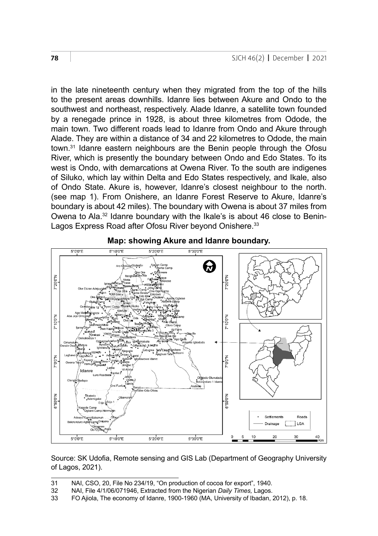in the late nineteenth century when they migrated from the top of the hills to the present areas downhills. Idanre lies between Akure and Ondo to the southwest and northeast, respectively. Alade Idanre, a satellite town founded by a renegade prince in 1928, is about three kilometres from Odode, the main town. Two different roads lead to Idanre from Ondo and Akure through Alade. They are within a distance of 34 and 22 kilometres to Odode, the main town.31 Idanre eastern neighbours are the Benin people through the Ofosu River, which is presently the boundary between Ondo and Edo States. To its west is Ondo, with demarcations at Owena River. To the south are indigenes of Siluko, which lay within Delta and Edo States respectively, and Ikale, also of Ondo State. Akure is, however, Idanre's closest neighbour to the north. (see map 1). From Onishere, an Idanre Forest Reserve to Akure, Idanre's boundary is about 42 miles). The boundary with Owena is about 37 miles from Owena to Ala.32 Idanre boundary with the Ikale's is about 46 close to Benin-Lagos Express Road after Ofosu River beyond Onishere.<sup>33</sup>



#### **Map: showing Akure and Idanre boundary.**

Source: SK Udofia, Remote sensing and GIS Lab (Department of Geography University  $T$ agos, 2021). of Lagos, 2021).

<sup>31</sup> NAI, CSO, 20, File No 234/19, "On production of cocoa for export", 1940.

<sup>31</sup> NAI, CSO, 20, File No 234/19, On production of cocoa for export , 1940.<br>32 NAI, File 4/1/06/071946, Extracted from the Nigerian *Daily Times*, Lagos.

OZ TWA, The 4/1909011940, Exalded nom are rigerian Barry Trines, Edges.<br>33 FO Ajiola, The economy of Idanre, 1900-1960 (MA, University of Ibadan, 2012), p. 18.  $\frac{1}{2}$  the Owards the Occarion of order received and was the recognition of the received  $\frac{1}{2}$  or  $\frac{1}{2}$  or  $\frac{1}{2}$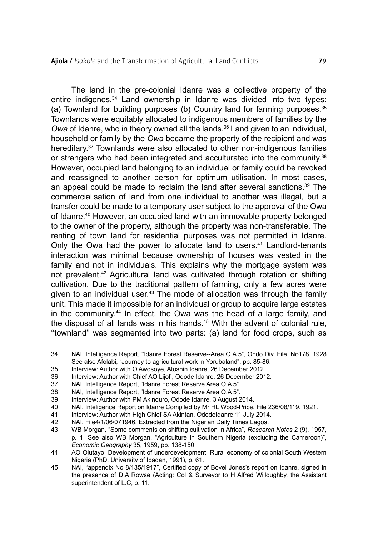Ajiola / *Isakole* and the Transformation of Agricultural Land Conflicts 79

The land in the pre-colonial Idanre was a collective property of the entire indigenes.34 Land ownership in Idanre was divided into two types: (a) Townland for building purposes (b) Country land for farming purposes. $35$ Townlands were equitably allocated to indigenous members of families by the Owa of Idanre, who in theory owned all the lands.<sup>36</sup> Land given to an individual, household or family by the *Owa* became the property of the recipient and was hereditary.<sup>37</sup> Townlands were also allocated to other non-indigenous families or strangers who had been integrated and acculturated into the community.<sup>38</sup> However, occupied land belonging to an individual or family could be revoked and reassigned to another person for optimum utilisation. In most cases, an appeal could be made to reclaim the land after several sanctions.<sup>39</sup> The commercialisation of land from one individual to another was illegal, but a transfer could be made to a temporary user subject to the approval of the Owa of Idanre.40 However, an occupied land with an immovable property belonged to the owner of the property, although the property was non-transferable. The renting of town land for residential purposes was not permitted in Idanre. Only the Owa had the power to allocate land to users.<sup>41</sup> Landlord-tenants interaction was minimal because ownership of houses was vested in the family and not in individuals. This explains why the mortgage system was not prevalent.42 Agricultural land was cultivated through rotation or shifting cultivation. Due to the traditional pattern of farming, only a few acres were given to an individual user.<sup>43</sup> The mode of allocation was through the family unit. This made it impossible for an individual or group to acquire large estates in the community.44 In effect, the Owa was the head of a large family, and the disposal of all lands was in his hands. $45$  With the advent of colonial rule, ''townland'' was segmented into two parts: (a) land for food crops, such as

<sup>34</sup> NAI, Intelligence Report, ''Idanre Forest Reserve--Area O.A 5", Ondo Div, File, No178, 1928 See also Afolabi, "Journey to agricultural work in Yorubaland", pp. 85-86.

<sup>35</sup> Interview: Author with O Awosoye, Atoshin Idanre, 26 December 2012.

<sup>36</sup> Interview: Author with Chief AO Lijofi, Odode Idanre, 26 December 2012.<br>37 NAI, Intelligence Report, "Idanre Forest Reserve Area O.A 5".

<sup>37</sup> NAI, Intelligence Report, "Idanre Forest Reserve Area O.A 5".

<sup>38</sup> NAI, Intelligence Report, "Idanre Forest Reserve Area O.A 5".

<sup>39</sup> Interview: Author with PM Akinduro, Odode Idanre, 3 August 2014.

NAI, Inteligence Report on Idanre Compiled by Mr HL Wood-Price. File 236/08/119, 1921.

<sup>41</sup> Interview: Author with High Chief SA Akintan, OdodeIdanre 11 July 2014.

<sup>42</sup> NAI, File4/1/06/071946, Extracted from the Nigerian Daily Times Lagos.<br>43 WR Morgan "Some comments on shifting cultivation in Africa" Researc

<sup>43</sup> WB Morgan, "Some comments on shifting cultivation in Africa", *Research Notes* 2 (9), 1957, p. 1; See also WB Morgan, "Agriculture in Southern Nigeria (excluding the Cameroon)", *Economic Geography* 35, 1959, pp. 138-150.

<sup>44</sup> AO Olutayo, Development of underdevelopment: Rural economy of colonial South Western Nigeria (PhD, University of Ibadan, 1991), p. 61.

<sup>45</sup> NAI, "appendix No 8/135/1917", Certified copy of Bovel Jones's report on Idanre, signed in the presence of D.A Rowse (Acting: Col & Surveyor to H Alfred Willoughby, the Assistant superintendent of L.C, p. 11.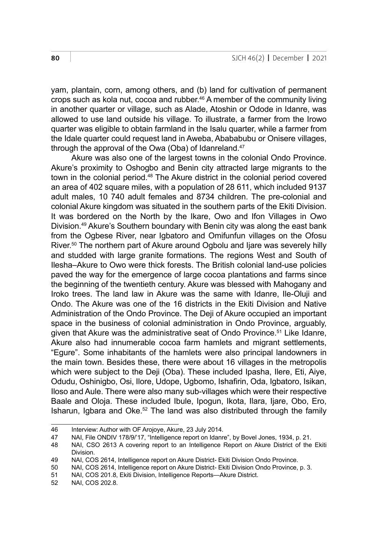yam, plantain, corn, among others, and (b) land for cultivation of permanent crops such as kola nut, cocoa and rubber.46 A member of the community living in another quarter or village, such as Alade, Atoshin or Odode in Idanre, was allowed to use land outside his village. To illustrate, a farmer from the Irowo quarter was eligible to obtain farmland in the Isalu quarter, while a farmer from the Idale quarter could request land in Aweba, Abababubu or Onisere villages, through the approval of the Owa (Oba) of Idanreland.<sup>47</sup>

Akure was also one of the largest towns in the colonial Ondo Province. Akure's proximity to Oshogbo and Benin city attracted large migrants to the town in the colonial period.48 The Akure district in the colonial period covered an area of 402 square miles, with a population of 28 611, which included 9137 adult males, 10 740 adult females and 8734 children. The pre-colonial and colonial Akure kingdom was situated in the southern parts of the Ekiti Division. It was bordered on the North by the Ikare, Owo and Ifon Villages in Owo Division.49 Akure's Southern boundary with Benin city was along the east bank from the Ogbese River, near Igbatoro and Omifunfun villages on the Ofosu River.<sup>50</sup> The northern part of Akure around Ogbolu and Ijare was severely hilly and studded with large granite formations. The regions West and South of Ilesha–Akure to Owo were thick forests. The British colonial land-use policies paved the way for the emergence of large cocoa plantations and farms since the beginning of the twentieth century. Akure was blessed with Mahogany and Iroko trees. The land law in Akure was the same with Idanre, Ile-Oluji and Ondo. The Akure was one of the 16 districts in the Ekiti Division and Native Administration of the Ondo Province. The Deji of Akure occupied an important space in the business of colonial administration in Ondo Province, arguably, given that Akure was the administrative seat of Ondo Province.51 Like Idanre, Akure also had innumerable cocoa farm hamlets and migrant settlements, "Egure". Some inhabitants of the hamlets were also principal landowners in the main town. Besides these, there were about 16 villages in the metropolis which were subject to the Deji (Oba). These included Ipasha, Ilere, Eti, Aiye, Odudu, Oshinigbo, Osi, Ilore, Udope, Ugbomo, Ishafirin, Oda, Igbatoro, Isikan, Iloso and Aule. There were also many sub-villages which were their respective Baale and Oloja. These included Ibule, Ipogun, Ikota, Ilara, Ijare, Obo, Ero, Isharun, Igbara and Oke.52 The land was also distributed through the family

<sup>46</sup> Interview: Author with OF Arojoye, Akure, 23 July 2014.<br>47 NAI, File ONDIV 178/9/17, "Intelligence report on Idann

NAI, File ONDIV 178/9/'17, "Intelligence report on Idanre", by Bovel Jones, 1934, p. 21.

<sup>48</sup> NAI, CSO 2613 A covering report to an Intelligence Report on Akure District of the Ekiti Division.

<sup>49</sup> NAI, COS 2614, Intelligence report on Akure District- Ekiti Division Ondo Province.<br>50 NAI, COS 2614, Intelligence report on Akure District- Ekiti Division Ondo Province.

<sup>50</sup> NAI, COS 2614, Intelligence report on Akure District- Ekiti Division Ondo Province, p. 3.

<sup>51</sup> NAI, COS 201.8, Ekiti Division, Intelligence Reports—Akure District.<br>52 NAI COS 202.8

NAI, COS 202.8.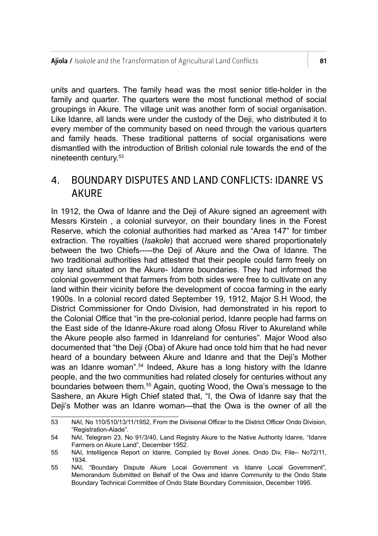units and quarters. The family head was the most senior title-holder in the family and quarter. The quarters were the most functional method of social groupings in Akure. The village unit was another form of social organisation. Like Idanre, all lands were under the custody of the Deji, who distributed it to every member of the community based on need through the various quarters and family heads. These traditional patterns of social organisations were dismantled with the introduction of British colonial rule towards the end of the nineteenth century.53

# 4. BOUNDARY DISPUTES AND LAND CONFLICTS: IDANRE VS AKURE

In 1912, the Owa of Idanre and the Deij of Akure signed an agreement with Messrs Kirstein , a colonial surveyor, on their boundary lines in the Forest Reserve, which the colonial authorities had marked as "Area 147" for timber extraction. The royalties (*Isakole*) that accrued were shared proportionately between the two Chiefs-----the Deji of Akure and the Owa of Idanre. The two traditional authorities had attested that their people could farm freely on any land situated on the Akure- Idanre boundaries. They had informed the colonial government that farmers from both sides were free to cultivate on any land within their vicinity before the development of cocoa farming in the early 1900s. In a colonial record dated September 19, 1912, Major S.H Wood, the District Commissioner for Ondo Division, had demonstrated in his report to the Colonial Office that "in the pre-colonial period, Idanre people had farms on the East side of the Idanre-Akure road along Ofosu River to Akureland while the Akure people also farmed in Idanreland for centuries". Major Wood also documented that "the Deji (Oba) of Akure had once told him that he had never heard of a boundary between Akure and Idanre and that the Deji's Mother was an Idanre woman".<sup>54</sup> Indeed, Akure has a long history with the Idanre people, and the two communities had related closely for centuries without any boundaries between them*.* <sup>55</sup> Again, quoting Wood, the Owa's message to the Sashere, an Akure High Chief stated that, "I, the Owa of Idanre say that the Deji's Mother was an Idanre woman—that the Owa is the owner of all the

<sup>53</sup> NAI, No 110/510/13/11/1952, From the Divisional Officer to the District Officer Ondo Division, "Registration-Alade".

<sup>54</sup> NAI, Telegram 23, No 91/3/40, Land Registry Akure to the Native Authority Idanre, "Idanre Farmers on Akure Land", December 1952.

<sup>55</sup> NAI, Intelligence Report on Idanre, Compiled by Bovel Jones. Ondo Div, File-- No72/11, 1934.

<sup>55</sup> NAI, "Boundary Dispute Akure Local Government vs Idanre Local Government", Memorandum Submitted on Behalf of the Owa and Idanre Community to the Ondo State Boundary Technical Committee of Ondo State Boundary Commission, December 1995.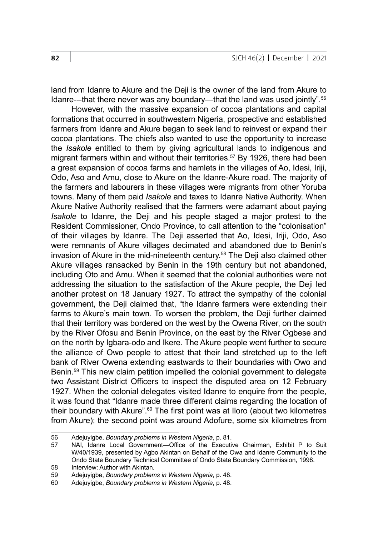land from Idanre to Akure and the Deii is the owner of the land from Akure to Idanre---that there never was any boundary—that the land was used jointly"*.* 56

However, with the massive expansion of cocoa plantations and capital formations that occurred in southwestern Nigeria, prospective and established farmers from Idanre and Akure began to seek land to reinvest or expand their cocoa plantations. The chiefs also wanted to use the opportunity to increase the *Isakole* entitled to them by giving agricultural lands to indigenous and migrant farmers within and without their territories.<sup>57</sup> By 1926, there had been a great expansion of cocoa farms and hamlets in the villages of Ao, Idesi, Iriji, Odo, Aso and Amu, close to Akure on the Idanre-Akure road. The majority of the farmers and labourers in these villages were migrants from other Yoruba towns. Many of them paid *Isakole* and taxes to Idanre Native Authority. When Akure Native Authority realised that the farmers were adamant about paying *Isakole* to Idanre, the Deji and his people staged a major protest to the Resident Commissioner, Ondo Province, to call attention to the "colonisation" of their villages by Idanre. The Deji asserted that Ao, Idesi, Iriji, Odo, Aso were remnants of Akure villages decimated and abandoned due to Benin's invasion of Akure in the mid-nineteenth century.58 The Deji also claimed other Akure villages ransacked by Benin in the 19th century but not abandoned, including Oto and Amu. When it seemed that the colonial authorities were not addressing the situation to the satisfaction of the Akure people, the Deji led another protest on 18 January 1927. To attract the sympathy of the colonial government, the Deji claimed that, "the Idanre farmers were extending their farms to Akure's main town. To worsen the problem, the Deji further claimed that their territory was bordered on the west by the Owena River, on the south by the River Ofosu and Benin Province, on the east by the River Ogbese and on the north by Igbara-odo and Ikere. The Akure people went further to secure the alliance of Owo people to attest that their land stretched up to the left bank of River Owena extending eastwards to their boundaries with Owo and Benin.59 This new claim petition impelled the colonial government to delegate two Assistant District Officers to inspect the disputed area on 12 February 1927. When the colonial delegates visited Idanre to enquire from the people, it was found that "Idanre made three different claims regarding the location of their boundary with Akure".<sup>60</sup> The first point was at Iloro (about two kilometres from Akure); the second point was around Adofure, some six kilometres from

<sup>56</sup> Adejuyigbe, *Boundary problems in Western Nigeria*, p. 81.

<sup>57</sup> NAI, Idanre Local Government—Office of the Executive Chairman, Exhibit P to Suit W/40/1939, presented by Agbo Akintan on Behalf of the Owa and Idanre Community to the Ondo State Boundary Technical Committee of Ondo State Boundary Commission, 1998.

<sup>58</sup> Interview: Author with Akintan.<br>59 Adeiuvigbe, Boundary problem 59 Adejuyigbe, *Boundary problems in Western Nigeria*, p. 48.

<sup>60</sup> Adejuyigbe, *Boundary problems in Western Nigeria*, p. 48.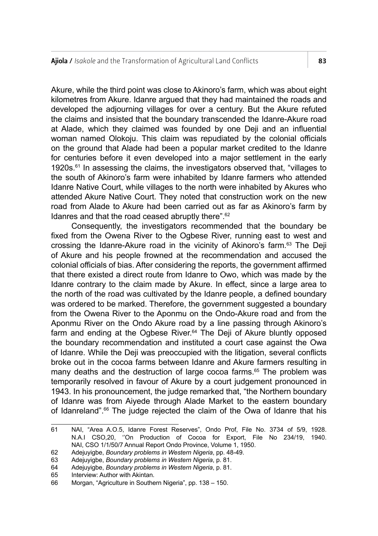Akure, while the third point was close to Akinoro's farm, which was about eight kilometres from Akure. Idanre argued that they had maintained the roads and developed the adjourning villages for over a century. But the Akure refuted the claims and insisted that the boundary transcended the Idanre-Akure road at Alade, which they claimed was founded by one Deji and an influential woman named Olokoju. This claim was repudiated by the colonial officials on the ground that Alade had been a popular market credited to the Idanre for centuries before it even developed into a major settlement in the early 1920s.<sup>61</sup> In assessing the claims, the investigators observed that, "villages to the south of Akinoro's farm were inhabited by Idanre farmers who attended Idanre Native Court, while villages to the north were inhabited by Akures who attended Akure Native Court. They noted that construction work on the new road from Alade to Akure had been carried out as far as Akinoro's farm by Idanres and that the road ceased abruptly there".62

Consequently, the investigators recommended that the boundary be fixed from the Owena River to the Ogbese River, running east to west and crossing the Idanre-Akure road in the vicinity of Akinoro's farm.<sup>63</sup> The Deji of Akure and his people frowned at the recommendation and accused the colonial officials of bias. After considering the reports, the government affirmed that there existed a direct route from Idanre to Owo, which was made by the Idanre contrary to the claim made by Akure. In effect, since a large area to the north of the road was cultivated by the Idanre people, a defined boundary was ordered to be marked. Therefore, the government suggested a boundary from the Owena River to the Aponmu on the Ondo-Akure road and from the Aponmu River on the Ondo Akure road by a line passing through Akinoro's farm and ending at the Ogbese River.<sup>64</sup> The Deji of Akure bluntly opposed the boundary recommendation and instituted a court case against the Owa of Idanre. While the Deji was preoccupied with the litigation, several conflicts broke out in the cocoa farms between Idanre and Akure farmers resulting in many deaths and the destruction of large cocoa farms.<sup>65</sup> The problem was temporarily resolved in favour of Akure by a court judgement pronounced in 1943. In his pronouncement, the judge remarked that, "the Northern boundary of Idanre was from Aiyede through Alade Market to the eastern boundary of Idanreland".66 The judge rejected the claim of the Owa of Idanre that his

<sup>61</sup> NAI, "Area A.O.5, Idanre Forest Reserves", Ondo Prof, File No. 3734 of 5/9, 1928. N.A.I CSO,20, ''On Production of Cocoa for Export, File No 234/19, 1940. NAI, CSO 1/1/50/7 Annual Report Ondo Province, Volume 1, 1950.

<sup>62</sup> Adejuyigbe, *Boundary problems in Western Nigeria*, pp. 48-49.

<sup>63</sup> Adejuyigbe, *Boundary problems in Western Nigeria*, p. 81.

<sup>64</sup> Adejuyigbe, *Boundary problems in Western Nigeria*, p. 81.

<sup>65</sup> Interview: Author with Akintan.<br>66 Morgan "Agriculture in Southe

Morgan, "Agriculture in Southern Nigeria", pp. 138 - 150.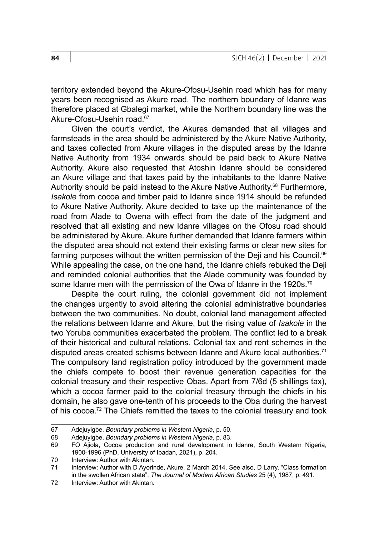territory extended beyond the Akure-Ofosu-Usehin road which has for many years been recognised as Akure road. The northern boundary of Idanre was therefore placed at Gbalegi market, while the Northern boundary line was the Akure-Ofosu-Usehin road.67

Given the court's verdict, the Akures demanded that all villages and farmsteads in the area should be administered by the Akure Native Authority, and taxes collected from Akure villages in the disputed areas by the Idanre Native Authority from 1934 onwards should be paid back to Akure Native Authority. Akure also requested that Atoshin Idanre should be considered an Akure village and that taxes paid by the inhabitants to the Idanre Native Authority should be paid instead to the Akure Native Authority.<sup>68</sup> Furthermore, *Isakole* from cocoa and timber paid to Idanre since 1914 should be refunded to Akure Native Authority. Akure decided to take up the maintenance of the road from Alade to Owena with effect from the date of the judgment and resolved that all existing and new Idanre villages on the Ofosu road should be administered by Akure. Akure further demanded that Idanre farmers within the disputed area should not extend their existing farms or clear new sites for farming purposes without the written permission of the Deji and his Council.<sup>69</sup> While appealing the case, on the one hand, the Idanre chiefs rebuked the Deji and reminded colonial authorities that the Alade community was founded by some Idanre men with the permission of the Owa of Idanre in the 1920s.<sup>70</sup>

Despite the court ruling, the colonial government did not implement the changes urgently to avoid altering the colonial administrative boundaries between the two communities. No doubt, colonial land management affected the relations between Idanre and Akure, but the rising value of *Isakole* in the two Yoruba communities exacerbated the problem. The conflict led to a break of their historical and cultural relations. Colonial tax and rent schemes in the disputed areas created schisms between Idanre and Akure local authorities.<sup>71</sup> The compulsory land registration policy introduced by the government made the chiefs compete to boost their revenue generation capacities for the colonial treasury and their respective Obas. Apart from 7/6d (5 shillings tax), which a cocoa farmer paid to the colonial treasury through the chiefs in his domain, he also gave one-tenth of his proceeds to the Oba during the harvest of his cocoa.72 The Chiefs remitted the taxes to the colonial treasury and took

<sup>67</sup> Adejuyigbe, *Boundary problems in Western Nigeria*, p. 50.

<sup>68</sup> Adejuyigbe, *Boundary problems in Western Nigeria*, p. 83.

<sup>69</sup> FO Ajiola, Cocoa production and rural development in Idanre, South Western Nigeria, 1900-1996 (PhD, University of Ibadan, 2021), p. 204.

<sup>70</sup> Interview: Author with Akintan.<br>71 Interview: Author with D Avorir

Interview: Author with D Ayorinde, Akure, 2 March 2014. See also, D Larry, "Class formation in the swollen African state", *The Journal of Modern African Studies* 25 (4), 1987, p. 491.

<sup>72</sup> Interview: Author with Akintan.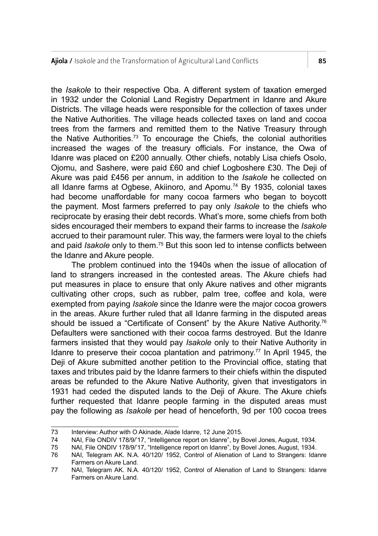the *Isakole* to their respective Oba. A different system of taxation emerged in 1932 under the Colonial Land Registry Department in Idanre and Akure Districts. The village heads were responsible for the collection of taxes under the Native Authorities. The village heads collected taxes on land and cocoa trees from the farmers and remitted them to the Native Treasury through the Native Authorities.73 To encourage the Chiefs, the colonial authorities increased the wages of the treasury officials. For instance, the Owa of Idanre was placed on £200 annually. Other chiefs, notably Lisa chiefs Osolo, Ojomu, and Sashere, were paid £60 and chief Logboshere £30. The Deji of Akure was paid £456 per annum, in addition to the *Isakole* he collected on all Idanre farms at Ogbese, Akiinoro, and Apomu.<sup>74</sup> By 1935, colonial taxes had become unaffordable for many cocoa farmers who began to boycott the payment. Most farmers preferred to pay only *Isakole* to the chiefs who reciprocate by erasing their debt records. What's more, some chiefs from both sides encouraged their members to expand their farms to increase the *Isakole* accrued to their paramount ruler. This way, the farmers were loyal to the chiefs and paid *Isakole* only to them.75 But this soon led to intense conflicts between the Idanre and Akure people.

The problem continued into the 1940s when the issue of allocation of land to strangers increased in the contested areas. The Akure chiefs had put measures in place to ensure that only Akure natives and other migrants cultivating other crops, such as rubber, palm tree, coffee and kola, were exempted from paying *Isakole* since the Idanre were the major cocoa growers in the areas. Akure further ruled that all Idanre farming in the disputed areas should be issued a "Certificate of Consent" by the Akure Native Authority.<sup>76</sup> Defaulters were sanctioned with their cocoa farms destroyed. But the Idanre farmers insisted that they would pay *Isakole* only to their Native Authority in Idanre to preserve their cocoa plantation and patrimony.77 In April 1945, the Deji of Akure submitted another petition to the Provincial office, stating that taxes and tributes paid by the Idanre farmers to their chiefs within the disputed areas be refunded to the Akure Native Authority, given that investigators in 1931 had ceded the disputed lands to the Deji of Akure. The Akure chiefs further requested that Idanre people farming in the disputed areas must pay the following as *Isakole* per head of henceforth, 9d per 100 cocoa trees

<sup>73</sup> Interview: Author with O Akinade, Alade Idanre, 12 June 2015.

<sup>74</sup> NAI, File ONDIV 178/9/'17, "Intelligence report on Idanre", by Bovel Jones, August, 1934.

<sup>75</sup> NAI, File ONDIV 178/9/'17, "Intelligence report on Idanre", by Bovel Jones, August, 1934.

<sup>76</sup> NAI, Telegram AK. N.A. 40/120/ 1952, Control of Alienation of Land to Strangers: Idanre Farmers on Akure Land.

<sup>77</sup> NAI, Telegram AK. N.A. 40/120/ 1952, Control of Alienation of Land to Strangers: Idanre Farmers on Akure Land.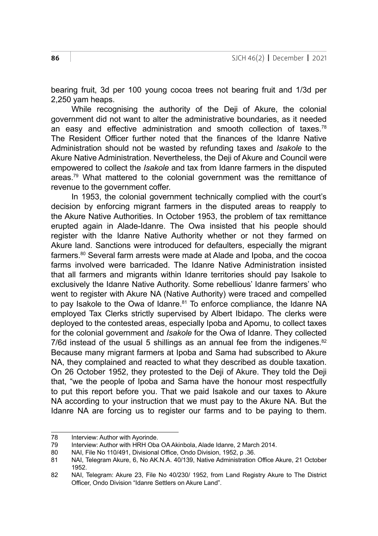bearing fruit, 3d per 100 young cocoa trees not bearing fruit and 1/3d per 2,250 yam heaps.

While recognising the authority of the Deji of Akure, the colonial government did not want to alter the administrative boundaries, as it needed an easy and effective administration and smooth collection of taxes. $78$ The Resident Officer further noted that the finances of the Idanre Native Administration should not be wasted by refunding taxes and *Isakole* to the Akure Native Administration. Nevertheless, the Deji of Akure and Council were empowered to collect the *Isakole* and tax from Idanre farmers in the disputed areas.<sup>79</sup> What mattered to the colonial government was the remittance of revenue to the government coffer.

In 1953, the colonial government technically complied with the court's decision by enforcing migrant farmers in the disputed areas to reapply to the Akure Native Authorities. In October 1953, the problem of tax remittance erupted again in Alade-Idanre. The Owa insisted that his people should register with the Idanre Native Authority whether or not they farmed on Akure land. Sanctions were introduced for defaulters, especially the migrant farmers.<sup>80</sup> Several farm arrests were made at Alade and Ipoba, and the cocoa farms involved were barricaded. The Idanre Native Administration insisted that all farmers and migrants within Idanre territories should pay Isakole to exclusively the Idanre Native Authority. Some rebellious' Idanre farmers' who went to register with Akure NA (Native Authority) were traced and compelled to pay Isakole to the Owa of Idanre.<sup>81</sup> To enforce compliance, the Idanre NA employed Tax Clerks strictly supervised by Albert Ibidapo. The clerks were deployed to the contested areas, especially Ipoba and Apomu, to collect taxes for the colonial government and *Isakole* for the Owa of Idanre. They collected 7/6d instead of the usual 5 shillings as an annual fee from the indigenes. $82$ Because many migrant farmers at Ipoba and Sama had subscribed to Akure NA, they complained and reacted to what they described as double taxation. On 26 October 1952, they protested to the Deji of Akure. They told the Deji that, "we the people of Ipoba and Sama have the honour most respectfully to put this report before you. That we paid Isakole and our taxes to Akure NA according to your instruction that we must pay to the Akure NA. But the Idanre NA are forcing us to register our farms and to be paying to them.

<sup>78</sup> Interview: Author with Ayorinde.

<sup>79</sup> Interview: Author with HRH Oba OA Akinbola, Alade Idanre, 2 March 2014.

<sup>80</sup> NAI, File No 110/491, Divisional Office, Ondo Division, 1952, p .36.

<sup>81</sup> NAI, Telegram Akure, 6, No AK.N.A. 40/139, Native Administration Office Akure, 21 October 1952.

<sup>82</sup> NAI, Telegram: Akure 23, File No 40/230/ 1952, from Land Registry Akure to The District Officer, Ondo Division "Idanre Settlers on Akure Land".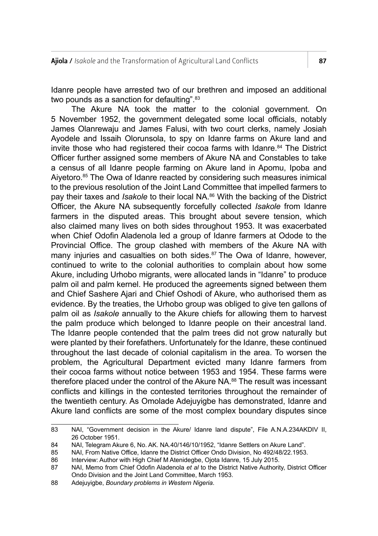Idanre people have arrested two of our brethren and imposed an additional two pounds as a sanction for defaulting".<sup>83</sup>

The Akure NA took the matter to the colonial government. On 5 November 1952, the government delegated some local officials, notably James Olanrewaju and James Falusi, with two court clerks, namely Josiah Ayodele and Issaih Olorunsola, to spy on Idanre farms on Akure land and invite those who had registered their cocoa farms with Idanre.<sup>84</sup> The District Officer further assigned some members of Akure NA and Constables to take a census of all Idanre people farming on Akure land in Apomu, Ipoba and Aiyetoro.85 The Owa of Idanre reacted by considering such measures inimical to the previous resolution of the Joint Land Committee that impelled farmers to pay their taxes and *Isakole* to their local NA.86 With the backing of the District Officer, the Akure NA subsequently forcefully collected *Isakole* from Idanre farmers in the disputed areas. This brought about severe tension, which also claimed many lives on both sides throughout 1953. It was exacerbated when Chief Odofin Aladenola led a group of Idanre farmers at Odode to the Provincial Office. The group clashed with members of the Akure NA with many injuries and casualties on both sides.<sup>87</sup> The Owa of Idanre, however, continued to write to the colonial authorities to complain about how some Akure, including Urhobo migrants, were allocated lands in "Idanre" to produce palm oil and palm kernel. He produced the agreements signed between them and Chief Sashere Ajari and Chief Oshodi of Akure, who authorised them as evidence. By the treaties, the Urhobo group was obliged to give ten gallons of palm oil as *Isakole* annually to the Akure chiefs for allowing them to harvest the palm produce which belonged to Idanre people on their ancestral land. The Idanre people contended that the palm trees did not grow naturally but were planted by their forefathers. Unfortunately for the Idanre, these continued throughout the last decade of colonial capitalism in the area. To worsen the problem, the Agricultural Department evicted many Idanre farmers from their cocoa farms without notice between 1953 and 1954. These farms were therefore placed under the control of the Akure NA.<sup>88</sup> The result was incessant conflicts and killings in the contested territories throughout the remainder of the twentieth century. As Omolade Adejuyigbe has demonstrated, Idanre and Akure land conflicts are some of the most complex boundary disputes since

<sup>83</sup> NAI, "Government decision in the Akure/ Idanre land dispute", File A.N.A.234AKDIV II, 26 October 1951.

<sup>84</sup> NAI, Telegram Akure 6, No. AK, NA.40/146/10/1952, "Idanre Settlers on Akure Land"

<sup>85</sup> NAI, From Native Office, Idanre the District Officer Ondo Division, No 492/48/22.1953.

<sup>86</sup> Interview: Author with High Chief M Atenidegbe, Ojota Idanre, 15 July 2015.<br>87 NAI. Memo from Chief Odofin Aladenola et al to the District Native Authorit

<sup>87</sup> NAI, Memo from Chief Odofin Aladenola *et al* to the District Native Authority, District Officer Ondo Division and the Joint Land Committee, March 1953.

<sup>88</sup> Adejuyigbe, *Boundary problems in Western Nigeria*.